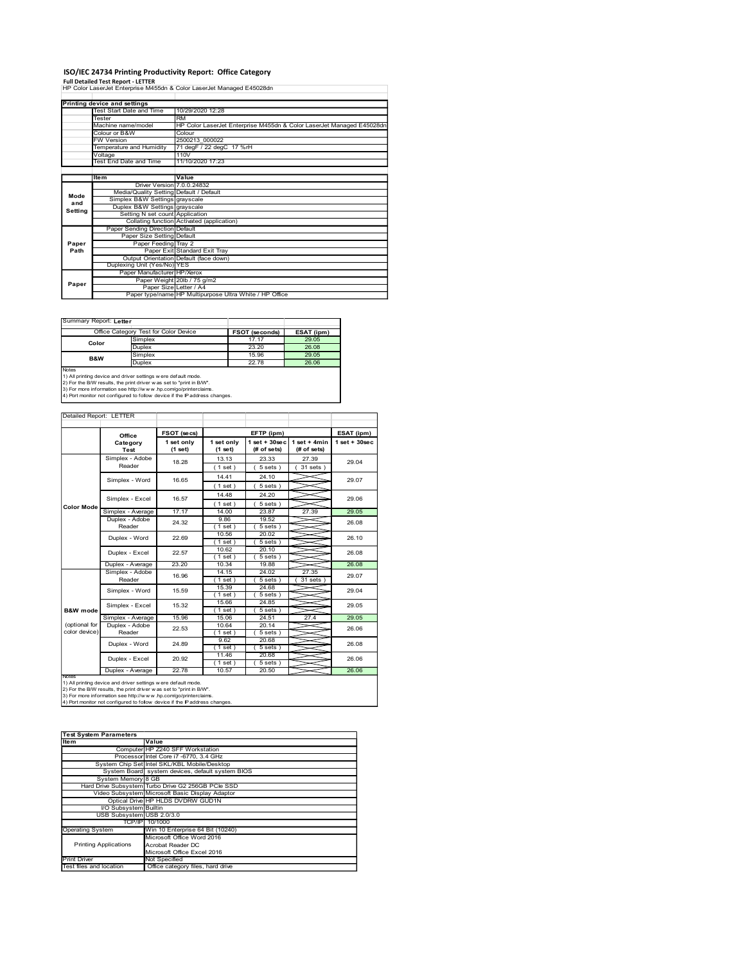# ISO/IEC 24734 Printing Productivity Report: Office Category Full Detailed Test Report - LETTER

|                | ISO/IEC 24734 Printing Productivity Report: Office Category                                                                            |                                                                  |                          |                                |                                                                       |                    |  |  |  |  |  |
|----------------|----------------------------------------------------------------------------------------------------------------------------------------|------------------------------------------------------------------|--------------------------|--------------------------------|-----------------------------------------------------------------------|--------------------|--|--|--|--|--|
|                | <b>Full Detailed Test Report - LETTER</b>                                                                                              |                                                                  |                          |                                |                                                                       |                    |  |  |  |  |  |
|                | HP Color LaserJet Enterprise M455dn & Color LaserJet Managed E45028dn                                                                  |                                                                  |                          |                                |                                                                       |                    |  |  |  |  |  |
|                | <b>Printing device and settings</b><br>Test Start Date and Time                                                                        | 10/29/2020 12:28                                                 |                          |                                |                                                                       |                    |  |  |  |  |  |
|                | Tester<br>Machine name/model                                                                                                           | <b>RM</b>                                                        |                          |                                | HP Color LaserJet Enterprise M455dn & Color LaserJet Managed E45028dn |                    |  |  |  |  |  |
|                | Colour or B&W<br>W Version                                                                                                             | Colour<br>2500213 000022                                         |                          |                                |                                                                       |                    |  |  |  |  |  |
|                | Temperature and Humidity                                                                                                               |                                                                  | 71 degF / 22 degC 17 %rH |                                |                                                                       |                    |  |  |  |  |  |
|                | /oltage<br>Test End Date and Time                                                                                                      | 110V<br>11/10/2020 17:23                                         |                          |                                |                                                                       |                    |  |  |  |  |  |
|                | ltem                                                                                                                                   | Value                                                            |                          |                                |                                                                       |                    |  |  |  |  |  |
|                |                                                                                                                                        | Driver Version 7.0.0.24832                                       |                          |                                |                                                                       |                    |  |  |  |  |  |
| Mode           | Simplex B&W Settings grayscale                                                                                                         | Media/Quality Setting Default / Default                          |                          |                                |                                                                       |                    |  |  |  |  |  |
| and<br>Setting |                                                                                                                                        | Duplex B&W Settings grayscale<br>Setting N set count Application |                          |                                |                                                                       |                    |  |  |  |  |  |
|                | Paper Sending Direction Default                                                                                                        | Collating function Activated (application)                       |                          |                                |                                                                       |                    |  |  |  |  |  |
|                |                                                                                                                                        | Paper Size Setting Default                                       |                          |                                |                                                                       |                    |  |  |  |  |  |
| Paper<br>Path  |                                                                                                                                        | Paper Feeding Tray 2<br>Paper Exit Standard Exit Tray            |                          |                                |                                                                       |                    |  |  |  |  |  |
|                | Duplexing Unit (Yes/No) YES                                                                                                            | Output Orientation Default (face down)                           |                          |                                |                                                                       |                    |  |  |  |  |  |
|                |                                                                                                                                        | Paper Manufacturer HP/Xerox                                      |                          |                                |                                                                       |                    |  |  |  |  |  |
| Paper          |                                                                                                                                        | Paper Weight 20lb / 75 g/m2<br>Paper Size Letter / A4            |                          |                                |                                                                       |                    |  |  |  |  |  |
|                |                                                                                                                                        | Paper type/name HP Multipurpose Ultra White / HP Office          |                          |                                |                                                                       |                    |  |  |  |  |  |
|                |                                                                                                                                        |                                                                  |                          |                                |                                                                       |                    |  |  |  |  |  |
|                | Summary Report: Letter                                                                                                                 |                                                                  |                          |                                |                                                                       |                    |  |  |  |  |  |
|                | Office Category Test for Color Device<br>Simplex<br>Color                                                                              |                                                                  |                          | FSOT (seconds)<br>17.17        | ESAT (ipm)<br>29.05                                                   |                    |  |  |  |  |  |
|                | Duplex<br>Simplex                                                                                                                      |                                                                  |                          | 23.20<br>15.96                 | 26.08<br>29.05                                                        |                    |  |  |  |  |  |
|                | B&W<br>Duplex                                                                                                                          |                                                                  |                          | 22.78                          | 26.06                                                                 |                    |  |  |  |  |  |
| Notes          | 1) All printing device and driver settings w ere default mode.                                                                         |                                                                  |                          |                                |                                                                       |                    |  |  |  |  |  |
|                | 2) For the B/W results, the print driver was set to "print in B/W".<br>3) For more information see http://www.hp.com/go/printerclaims. |                                                                  |                          |                                |                                                                       |                    |  |  |  |  |  |
|                | 4) Port monitor not configured to follow device if the IP address changes.                                                             |                                                                  |                          |                                |                                                                       |                    |  |  |  |  |  |
|                |                                                                                                                                        |                                                                  |                          |                                |                                                                       |                    |  |  |  |  |  |
|                | Detailed Report: LETTER                                                                                                                |                                                                  |                          | EFTP (ipm)                     |                                                                       | ESAT (ipm)         |  |  |  |  |  |
|                |                                                                                                                                        |                                                                  |                          |                                |                                                                       | $1$ set + $30$ sec |  |  |  |  |  |
|                | Office<br>Category                                                                                                                     | FSOT (secs)<br>1 set only                                        | 1 set only               | 1 set + 30 sec   1 set + 4 min |                                                                       |                    |  |  |  |  |  |
|                | Test                                                                                                                                   | (1 set)                                                          | (1 set)                  | (# of sets)                    | (# of sets)                                                           |                    |  |  |  |  |  |
|                | Simplex - Adobe<br>Reader                                                                                                              | 18.28                                                            | 13.13<br>(1 set)         | 23.33<br>(5 sets)              | 27.39<br>$(31$ sets                                                   | 29.04              |  |  |  |  |  |
|                | Simplex - Word                                                                                                                         | 16.65                                                            | 14.41                    | 24.10                          |                                                                       | 29.07              |  |  |  |  |  |
|                |                                                                                                                                        |                                                                  | (1 set)<br>14.48         | 5 sets<br>24.20                |                                                                       |                    |  |  |  |  |  |
| Color Mode     | Simplex - Excel                                                                                                                        | 16.57                                                            | (1 set)                  | (5 sets)                       |                                                                       | 29.06              |  |  |  |  |  |
|                | Simplex - Average<br>Duplex - Adobe                                                                                                    | 17.17                                                            | 14.00<br>9.86            | 23.87<br>19.52                 | 27.39                                                                 | 29.05              |  |  |  |  |  |
|                | Reader                                                                                                                                 | 24.32                                                            | (1 set )<br>10.56        | 5 sets)<br>20.02               |                                                                       | 26.08              |  |  |  |  |  |
|                | Duplex - Word<br>Duplex - Excel                                                                                                        | 22.69<br>22.57                                                   | (1 set)<br>10.62         | 5 sets)<br>20.10               |                                                                       | 26.10<br>26.08     |  |  |  |  |  |

|                | Office Category Test for Color Device                         | <b>FSOT (seconds)</b> | ESAT (ipm) |
|----------------|---------------------------------------------------------------|-----------------------|------------|
| Color          | Simplex                                                       | 17.17                 | 29.05      |
|                | <b>Duplex</b>                                                 | 23.20                 | 26.08      |
| <b>B&amp;W</b> | Simplex                                                       | 15.96                 | 29.05      |
|                | <b>Duplex</b>                                                 | 22.78                 | 26.06      |
| <b>Notes</b>   | (1) All printing device and driver settings were default mode |                       |            |

### Detailed Report: LETTER

|                                                | Item                                                                                                                                  | Value                                                                             |                  |                       |                                |                    |
|------------------------------------------------|---------------------------------------------------------------------------------------------------------------------------------------|-----------------------------------------------------------------------------------|------------------|-----------------------|--------------------------------|--------------------|
|                                                |                                                                                                                                       | Driver Version 7.0.0.24832<br>Media/Quality Setting Default / Default             |                  |                       |                                |                    |
| Mode<br>and                                    |                                                                                                                                       | Simplex B&W Settings grayscale                                                    |                  |                       |                                |                    |
| Setting                                        |                                                                                                                                       | Duplex B&W Settings grayscale<br>Setting N set count Application                  |                  |                       |                                |                    |
|                                                |                                                                                                                                       | Collating function Activated (application)                                        |                  |                       |                                |                    |
|                                                | Paper Sending Direction Default                                                                                                       |                                                                                   |                  |                       |                                |                    |
| Paper                                          |                                                                                                                                       | Paper Size Setting Default<br>Paper Feeding Tray 2                                |                  |                       |                                |                    |
| Path                                           | Paper Exit Standard Exit Tray                                                                                                         |                                                                                   |                  |                       |                                |                    |
|                                                | Duplexing Unit (Yes/No) YES                                                                                                           | Output Orientation Default (face down)                                            |                  |                       |                                |                    |
|                                                |                                                                                                                                       | Paper Manufacturer HP/Xerox                                                       |                  |                       |                                |                    |
| Paper                                          |                                                                                                                                       | Paper Weight 20lb / 75 g/m2                                                       |                  |                       |                                |                    |
|                                                |                                                                                                                                       | Paper Size Letter / A4<br>Paper type/name HP Multipurpose Ultra White / HP Office |                  |                       |                                |                    |
|                                                |                                                                                                                                       |                                                                                   |                  |                       |                                |                    |
|                                                |                                                                                                                                       |                                                                                   |                  |                       |                                |                    |
| Summary Report: Letter                         |                                                                                                                                       |                                                                                   |                  |                       |                                |                    |
|                                                | Office Category Test for Color Device                                                                                                 |                                                                                   |                  | <b>FSOT (seconds)</b> | ESAT (ipm)                     |                    |
| Color                                          | Simplex                                                                                                                               |                                                                                   |                  | 17.17<br>23.20        | 29.05<br>26.08                 |                    |
|                                                | Duplex<br>Simplex                                                                                                                     |                                                                                   |                  | 15.96                 | 29.05                          |                    |
| B&W                                            | Duplex                                                                                                                                |                                                                                   |                  | 22.78                 | 26.06                          |                    |
| Notes                                          | 1) All printing device and driver settings w ere default mode.                                                                        |                                                                                   |                  |                       |                                |                    |
|                                                | 2) For the B/W results, the print driver was set to "print in B/W".                                                                   |                                                                                   |                  |                       |                                |                    |
|                                                | 3) For more information see http://www.hp.com/go/printerclaims.                                                                       |                                                                                   |                  |                       |                                |                    |
|                                                | 4) Port monitor not configured to follow device if the IP address changes.                                                            |                                                                                   |                  |                       |                                |                    |
|                                                |                                                                                                                                       |                                                                                   |                  |                       |                                |                    |
| Detailed Report: LETTER                        |                                                                                                                                       |                                                                                   |                  |                       |                                |                    |
|                                                |                                                                                                                                       | FSOT (secs)                                                                       |                  | EFTP (ipm)            |                                | ESAT (ipm)         |
|                                                | Office<br>Category                                                                                                                    | 1 set only                                                                        | 1 set only       |                       | 1 set + 30 sec   1 set + 4 min | $1$ set + $30$ sec |
|                                                | Test                                                                                                                                  | (1 set)                                                                           | (1 set)          | (# of sets)           | (# of sets)                    |                    |
|                                                | Simplex - Adobe                                                                                                                       | 18.28                                                                             | 13.13            | 23.33                 | 27.39                          | 29.04              |
|                                                | Reader                                                                                                                                |                                                                                   | (1 set)          | 5 sets)               | 31 sets )                      |                    |
|                                                | Simplex - Word                                                                                                                        | 16.65                                                                             | 14.41            | 24.10                 |                                | 29.07              |
|                                                |                                                                                                                                       |                                                                                   | (1 set)          | 5 sets)               |                                |                    |
|                                                | Simplex - Excel                                                                                                                       | 16.57                                                                             | 14.48            | 24.20                 |                                | 29.06              |
| Color Mode                                     | Simplex - Average                                                                                                                     | 17.17                                                                             | (1 set)<br>14.00 | 5 sets)<br>23.87      | 27.39                          | 29.05              |
|                                                | Duplex - Adobe                                                                                                                        | 24.32                                                                             | 9.86             | 19.52                 |                                | 26.08              |
|                                                | Reader                                                                                                                                |                                                                                   | (1 set)          | 5 sets)               |                                |                    |
|                                                | Duplex - Word                                                                                                                         | 22.69                                                                             | 10.56<br>(1 set) | 20.02<br>5 sets)      |                                | 26.10              |
|                                                |                                                                                                                                       |                                                                                   | 10.62            | 20.10                 |                                |                    |
|                                                | Duplex - Excel                                                                                                                        | 22.57                                                                             | (1 set)          | (5 sets)              |                                | 26.08              |
|                                                | Duplex - Average<br>Simplex - Adobe                                                                                                   | 23.20                                                                             | 10.34<br>14.15   | 19.88<br>24.02        | 27.35                          | 26.08              |
|                                                | Reader                                                                                                                                | 16.96                                                                             | (1 set)          | 5 sets)               | 31 sets                        | 29.07              |
|                                                | Simplex - Word                                                                                                                        | 15.59                                                                             | 15.39            | 24.68                 |                                | 29.04              |
|                                                |                                                                                                                                       |                                                                                   | (1 set)<br>15.66 | 5 sets<br>24.85       |                                |                    |
| <b>B&amp;W</b> mode                            | Simplex - Excel                                                                                                                       | 15.32                                                                             | (1 set)          | 5 sets                |                                | 29.05              |
|                                                | Simplex - Average                                                                                                                     | 15.96                                                                             | 15.06            | 24.51                 | 27.4                           | 29.05              |
| (optional for<br>color device)                 | Duplex - Adobe<br>Reader                                                                                                              | 22.53                                                                             | 10.64            | 20.14<br>5 sets       |                                | 26.06              |
|                                                |                                                                                                                                       |                                                                                   | (1 set )<br>9.62 | 20.68                 |                                |                    |
|                                                | Duplex - Word                                                                                                                         | 24.89                                                                             | (1 set)          | 5 sets                |                                | 26.08              |
|                                                | Duplex - Excel                                                                                                                        | 20.92                                                                             | 11.46            | 20.68                 |                                | 26.06              |
|                                                | Duplex - Average                                                                                                                      | 22.78                                                                             | (1 set)<br>10.57 | 5 sets<br>20.50       |                                | 26.06              |
| Note:                                          |                                                                                                                                       |                                                                                   |                  |                       |                                |                    |
|                                                | 1) All printing device and driver settings w ere default mode.<br>2) For the B/W results, the print driver was set to "print in B/W". |                                                                                   |                  |                       |                                |                    |
|                                                | 3) For more information see http://www.hp.com/go/printerclaims.                                                                       |                                                                                   |                  |                       |                                |                    |
|                                                | 4) Port monitor not configured to follow device if the IP address changes                                                             |                                                                                   |                  |                       |                                |                    |
|                                                |                                                                                                                                       |                                                                                   |                  |                       |                                |                    |
|                                                |                                                                                                                                       |                                                                                   |                  |                       |                                |                    |
|                                                | <b>Test System Parameters</b>                                                                                                         |                                                                                   |                  |                       |                                |                    |
| Item                                           |                                                                                                                                       | Value<br>Computer HP Z240 SFF Workstation                                         |                  |                       |                                |                    |
|                                                |                                                                                                                                       | Processor Intel Core i7 -6770, 3.4 GHz                                            |                  |                       |                                |                    |
|                                                | System Chip Set Intel SKL/KBL Mobile/Desktop                                                                                          |                                                                                   |                  |                       |                                |                    |
|                                                | System Board system devices, default system BIOS                                                                                      |                                                                                   |                  |                       |                                |                    |
|                                                | System Memory 8 GB<br>Hard Drive Subsystem Turbo Drive G2 256GB PCle SSD                                                              |                                                                                   |                  |                       |                                |                    |
|                                                | Video Subsystem Microsoft Basic Display Adaptor                                                                                       |                                                                                   |                  |                       |                                |                    |
|                                                |                                                                                                                                       | Optical Drive HP HLDS DVDRW GUD1N                                                 |                  |                       |                                |                    |
|                                                | VO Subsystem Builtin<br>USB Subsystem USB 2.0/3.0                                                                                     |                                                                                   |                  |                       |                                |                    |
|                                                | TCP/IP 10/1000                                                                                                                        |                                                                                   |                  |                       |                                |                    |
| <b>Operating System</b>                        |                                                                                                                                       | Win 10 Enterprise 64 Bit (10240)                                                  |                  |                       |                                |                    |
|                                                | <b>Printing Applications</b>                                                                                                          | Microsoft Office Word 2016<br>Acrobat Reader DC                                   |                  |                       |                                |                    |
|                                                |                                                                                                                                       | Microsoft Office Excel 2016                                                       |                  |                       |                                |                    |
| <b>Print Driver</b><br>Test files and location |                                                                                                                                       | Not Specified<br>Office category files, hard drive                                |                  |                       |                                |                    |
|                                                |                                                                                                                                       |                                                                                   |                  |                       |                                |                    |
|                                                |                                                                                                                                       |                                                                                   |                  |                       |                                |                    |
|                                                |                                                                                                                                       |                                                                                   |                  |                       |                                |                    |
|                                                |                                                                                                                                       |                                                                                   |                  |                       |                                |                    |
|                                                |                                                                                                                                       |                                                                                   |                  |                       |                                |                    |
|                                                |                                                                                                                                       |                                                                                   |                  |                       |                                |                    |
|                                                |                                                                                                                                       |                                                                                   |                  |                       |                                |                    |
|                                                |                                                                                                                                       |                                                                                   |                  |                       |                                |                    |

| <b>Test System Parameters</b> |                                                    |
|-------------------------------|----------------------------------------------------|
| <b>Item</b>                   | Value                                              |
|                               | Computer HP Z240 SFF Workstation                   |
|                               | Processor Intel Core i7 -6770, 3.4 GHz             |
|                               | System Chip Set Intel SKL/KBL Mobile/Desktop       |
|                               | System Board system devices, default system BIOS   |
| System Memory 8 GB            |                                                    |
|                               | Hard Drive Subsystem Turbo Drive G2 256GB PCle SSD |
|                               | Video Subsystem Microsoft Basic Display Adaptor    |
|                               | Optical Drive HP HLDS DVDRW GUD1N                  |
| VO Subsystem Builtin          |                                                    |
| USB Subsystem USB 2.0/3.0     |                                                    |
|                               | TCP/IP 10/1000                                     |
| <b>Operating System</b>       | Win 10 Enterprise 64 Bit (10240)                   |
|                               | Microsoft Office Word 2016                         |
| <b>Printing Applications</b>  | Acrobat Reader DC                                  |
|                               | Microsoft Office Excel 2016                        |
| <b>Print Driver</b>           | Not Specified                                      |
| Test files and location       | Office category files, hard drive                  |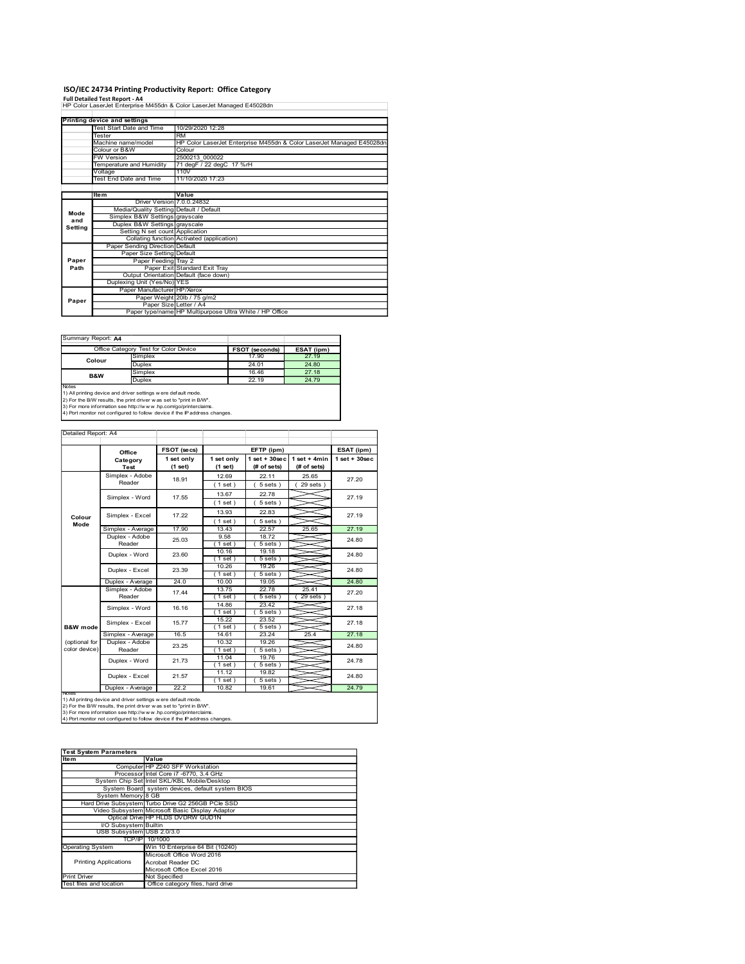### ISO/IEC 24734 Printing Productivity Report: Office Category

|                     | ISO/IEC 24734 Printing Productivity Report: Office Category<br>Full Detailed Test Report - A4<br>HP Color LaserJet Enterprise M455dn & Color LaserJet Managed E45028dn                                                                                                                 |                                                                                                                |                                                                                           |                                 |                                |                    |  |  |  |  |  |  |  |
|---------------------|----------------------------------------------------------------------------------------------------------------------------------------------------------------------------------------------------------------------------------------------------------------------------------------|----------------------------------------------------------------------------------------------------------------|-------------------------------------------------------------------------------------------|---------------------------------|--------------------------------|--------------------|--|--|--|--|--|--|--|
|                     | <b>Printing device and settings</b>                                                                                                                                                                                                                                                    |                                                                                                                |                                                                                           |                                 |                                |                    |  |  |  |  |  |  |  |
|                     | Test Start Date and Time<br>Tester                                                                                                                                                                                                                                                     | RM                                                                                                             | 10/29/2020 12:28<br>HP Color LaserJet Enterprise M455dn & Color LaserJet Managed E45028dn |                                 |                                |                    |  |  |  |  |  |  |  |
|                     | Machine name/model<br>Colour or B&W<br>W Version                                                                                                                                                                                                                                       | Colour<br>2500213_000022                                                                                       |                                                                                           |                                 |                                |                    |  |  |  |  |  |  |  |
|                     | Temperature and Humidity<br>/oltage                                                                                                                                                                                                                                                    | 110V                                                                                                           | 71 degF / 22 degC 17 %rH                                                                  |                                 |                                |                    |  |  |  |  |  |  |  |
|                     | Test End Date and Time                                                                                                                                                                                                                                                                 | 11/10/2020 17:23                                                                                               |                                                                                           |                                 |                                |                    |  |  |  |  |  |  |  |
|                     | ltem                                                                                                                                                                                                                                                                                   | Value<br>Driver Version 7.0.0.24832                                                                            |                                                                                           |                                 |                                |                    |  |  |  |  |  |  |  |
| Mode<br>and         |                                                                                                                                                                                                                                                                                        | Media/Quality Setting Default / Default<br>Simplex B&W Settings grayscale                                      |                                                                                           |                                 |                                |                    |  |  |  |  |  |  |  |
| Setting             |                                                                                                                                                                                                                                                                                        | Duplex B&W Settings grayscale<br>Setting N set count Application<br>Collating function Activated (application) |                                                                                           |                                 |                                |                    |  |  |  |  |  |  |  |
|                     | Paper Sending Direction Default                                                                                                                                                                                                                                                        | Paper Size Setting Default                                                                                     |                                                                                           |                                 |                                |                    |  |  |  |  |  |  |  |
| Paper<br>Path       |                                                                                                                                                                                                                                                                                        | Paper Feeding Tray 2<br>Paper Exit Standard Exit Tray                                                          |                                                                                           |                                 |                                |                    |  |  |  |  |  |  |  |
|                     | Duplexing Unit (Yes/No) YES                                                                                                                                                                                                                                                            | Output Orientation Default (face down)                                                                         |                                                                                           |                                 |                                |                    |  |  |  |  |  |  |  |
| Paper               |                                                                                                                                                                                                                                                                                        | Paper Manufacturer HP/Xerox<br>Paper Weight 20lb / 75 g/m2<br>Paper Size Letter / A4                           |                                                                                           |                                 |                                |                    |  |  |  |  |  |  |  |
|                     |                                                                                                                                                                                                                                                                                        | Paper type/name HP Multipurpose Ultra White / HP Office                                                        |                                                                                           |                                 |                                |                    |  |  |  |  |  |  |  |
| Summary Report: A4  |                                                                                                                                                                                                                                                                                        |                                                                                                                |                                                                                           |                                 |                                |                    |  |  |  |  |  |  |  |
|                     | Office Category Test for Color Device                                                                                                                                                                                                                                                  |                                                                                                                |                                                                                           | FSOT (seconds)                  | <b>ESAT (ipm)</b>              |                    |  |  |  |  |  |  |  |
|                     | Simplex<br>Colour<br>Duplex<br>Simplex                                                                                                                                                                                                                                                 |                                                                                                                |                                                                                           | 17.90<br>24.01<br>16.46         | 27.19<br>24.80<br>27.18        |                    |  |  |  |  |  |  |  |
| Notes               | B&W<br>Duplex                                                                                                                                                                                                                                                                          |                                                                                                                |                                                                                           | 22.19                           | 24.79                          |                    |  |  |  |  |  |  |  |
|                     | 1) All printing device and driver settings w ere default mode.<br>2) For the B/W results, the print driver was set to "print in B/W".<br>3) For more information see http://www.hp.com/go/printerclaims.<br>4) Port monitor not configured to follow device if the IP address changes. |                                                                                                                |                                                                                           |                                 |                                |                    |  |  |  |  |  |  |  |
|                     |                                                                                                                                                                                                                                                                                        |                                                                                                                |                                                                                           |                                 |                                |                    |  |  |  |  |  |  |  |
|                     |                                                                                                                                                                                                                                                                                        |                                                                                                                |                                                                                           | EFTP (ipm)                      |                                | ESAT (ipm)         |  |  |  |  |  |  |  |
| Detailed Report: A4 |                                                                                                                                                                                                                                                                                        | FSOT (secs)<br>Office<br>1 set only<br>1 set only                                                              |                                                                                           | $1 set + 30 sec$<br>(# of sets) | $1 set + 4 min$<br>(# of sets) | $1$ set + $30$ sec |  |  |  |  |  |  |  |
|                     | Category                                                                                                                                                                                                                                                                               |                                                                                                                |                                                                                           |                                 |                                |                    |  |  |  |  |  |  |  |
|                     | Test<br>Simplex - Adobe                                                                                                                                                                                                                                                                | (1 set)<br>18.91                                                                                               | (1 set)<br>12.69                                                                          | 22.11                           | 25.65                          | 27.20              |  |  |  |  |  |  |  |
|                     | Reader<br>Simplex - Word                                                                                                                                                                                                                                                               | 17.55                                                                                                          | (1 set)<br>13.67                                                                          | (5 sets)<br>22.78               | (29 sets)                      | 27.19              |  |  |  |  |  |  |  |
|                     |                                                                                                                                                                                                                                                                                        |                                                                                                                | (1 set)<br>13.93                                                                          | 5 sets)<br>22.83                |                                |                    |  |  |  |  |  |  |  |
| Colour<br>Mode      | Simplex - Excel<br>Simplex - Average                                                                                                                                                                                                                                                   | 17.22<br>17.90                                                                                                 | (1 set)<br>13.43                                                                          | (5 sets)<br>22.57               | 25.65                          | 27.19<br>27.19     |  |  |  |  |  |  |  |
|                     | Duplex - Adobe<br>Reader                                                                                                                                                                                                                                                               | 25.03                                                                                                          | 9.58<br>(1 set)                                                                           | 18.72<br>5 sets)                |                                | 24.80              |  |  |  |  |  |  |  |
|                     | Duplex - Word<br>Dunlex - Excel                                                                                                                                                                                                                                                        | 23.60<br>23.39                                                                                                 | 10.16<br>(1 set)<br>10.26                                                                 | 19.18<br>(5 sets)<br>19.26      |                                | 24.80<br>24.80     |  |  |  |  |  |  |  |

|                | Office Category Test for Color Device | <b>FSOT (seconds)</b> | ESAT (ipm) |
|----------------|---------------------------------------|-----------------------|------------|
| Colour         | Simplex                               | 17.90                 | 27.19      |
|                | <b>Duplex</b>                         | 24.01                 | 24.80      |
| <b>B&amp;W</b> | Simplex                               | 16.46                 | 27.18      |
|                | <b>Duplex</b>                         | 22.19                 | 24.79      |

|                         | 11/10/2020 17:23<br>Test End Date and Time                                                                                                                                                                           |                                                                               |                   |                       |                                |                  |  |  |
|-------------------------|----------------------------------------------------------------------------------------------------------------------------------------------------------------------------------------------------------------------|-------------------------------------------------------------------------------|-------------------|-----------------------|--------------------------------|------------------|--|--|
|                         | ltem<br>Value                                                                                                                                                                                                        |                                                                               |                   |                       |                                |                  |  |  |
|                         |                                                                                                                                                                                                                      | 7.0.0.24832<br>Driver Version                                                 |                   |                       |                                |                  |  |  |
| Mode                    | Media/Quality Setting                                                                                                                                                                                                | Simplex B&W Settings grayscale                                                | Default / Default |                       |                                |                  |  |  |
| and<br>Setting          |                                                                                                                                                                                                                      | Duplex B&W Settings grayscale                                                 |                   |                       |                                |                  |  |  |
|                         |                                                                                                                                                                                                                      | Setting N set count Application<br>Collating function Activated (application) |                   |                       |                                |                  |  |  |
|                         |                                                                                                                                                                                                                      | Paper Sending Direction Default                                               |                   |                       |                                |                  |  |  |
|                         | Paper Size Setting                                                                                                                                                                                                   | Default                                                                       |                   |                       |                                |                  |  |  |
| Paper<br>Path           |                                                                                                                                                                                                                      | Paper Feeding Tray 2<br>Paper Exit Standard Exit Tray                         |                   |                       |                                |                  |  |  |
|                         |                                                                                                                                                                                                                      | Output Orientation Default (face down)                                        |                   |                       |                                |                  |  |  |
|                         | Duplexing Unit (Yes/No) YES                                                                                                                                                                                          |                                                                               |                   |                       |                                |                  |  |  |
|                         |                                                                                                                                                                                                                      | Paper Manufacturer HP/Xerox<br>Paper Weight 20lb / 75 g/m2                    |                   |                       |                                |                  |  |  |
| Paper                   |                                                                                                                                                                                                                      | Paper Size Letter / A4                                                        |                   |                       |                                |                  |  |  |
|                         | Paper type/name HP Multipurpose Ultra White / HP Office                                                                                                                                                              |                                                                               |                   |                       |                                |                  |  |  |
|                         |                                                                                                                                                                                                                      |                                                                               |                   |                       |                                |                  |  |  |
|                         |                                                                                                                                                                                                                      |                                                                               |                   |                       |                                |                  |  |  |
|                         | Summary Report: A4                                                                                                                                                                                                   |                                                                               |                   |                       |                                |                  |  |  |
|                         | Office Category Test for Color Device                                                                                                                                                                                |                                                                               |                   | <b>FSOT (seconds)</b> | ESAT (ipm)                     |                  |  |  |
| Colour                  | Simplex<br>Duplex                                                                                                                                                                                                    |                                                                               |                   | 17.90<br>24.01        | 27.19<br>24.80                 |                  |  |  |
|                         | Simplex                                                                                                                                                                                                              |                                                                               |                   | 16.46                 | 27.18                          |                  |  |  |
| B&W                     | Duplex                                                                                                                                                                                                               |                                                                               |                   | 22.19                 | 24.79                          |                  |  |  |
| Notes                   | 1) All printing device and driver settings w ere default mode.                                                                                                                                                       |                                                                               |                   |                       |                                |                  |  |  |
|                         | 2) For the B/W results, the print driver was set to "print in B/W".<br>3) For more information see http://www.hp.com/go/printerclaims.<br>4) Port monitor not configured to follow device if the IP address changes. |                                                                               |                   |                       |                                |                  |  |  |
|                         |                                                                                                                                                                                                                      |                                                                               |                   |                       |                                |                  |  |  |
| Detailed Report: A4     |                                                                                                                                                                                                                      |                                                                               |                   |                       |                                |                  |  |  |
|                         |                                                                                                                                                                                                                      |                                                                               |                   |                       |                                |                  |  |  |
|                         | Office                                                                                                                                                                                                               | FSOT (secs)                                                                   |                   | EFTP (ipm)            |                                | ESAT (ipm)       |  |  |
|                         | Category                                                                                                                                                                                                             | 1 set only                                                                    | 1 set only        |                       | 1 set + 30 sec   1 set + 4 min | $1 set + 30 sec$ |  |  |
|                         | Test                                                                                                                                                                                                                 | (1 set)                                                                       | (1 set)           | (# of sets)           | (# of sets)                    |                  |  |  |
|                         | Simplex - Adobe                                                                                                                                                                                                      | 18.91                                                                         | 12.69             | 22.11                 | 25.65                          | 27.20            |  |  |
|                         | Reader                                                                                                                                                                                                               |                                                                               | (1 set)           | (5 sets)              | 29 sets                        |                  |  |  |
|                         | Simplex - Word                                                                                                                                                                                                       | 17.55                                                                         | 13.67             | 22.78                 |                                | 27.19            |  |  |
|                         |                                                                                                                                                                                                                      |                                                                               | (1 set)           | (5 sets)              |                                |                  |  |  |
| Colour                  | Simplex - Excel                                                                                                                                                                                                      | 17.22                                                                         | 13.93<br>(1 set)  | 22.83<br>5 sets       |                                | 27.19            |  |  |
| Mode                    | Simplex - Average                                                                                                                                                                                                    | 17.90                                                                         | 13.43             | 22.57                 | 25.65                          | 27.19            |  |  |
|                         | Duplex - Adobe                                                                                                                                                                                                       |                                                                               | 9.58              | 18.72                 |                                |                  |  |  |
|                         | Reader                                                                                                                                                                                                               | 25.03                                                                         | (1 set)           | (5 sets)              |                                | 24.80            |  |  |
|                         | Duplex - Word                                                                                                                                                                                                        | 23.60                                                                         | 10.16             | 19.18                 |                                | 24.80            |  |  |
|                         |                                                                                                                                                                                                                      |                                                                               | (1 set)<br>10.26  | 5 sets )<br>19.26     |                                |                  |  |  |
|                         | Duplex - Excel                                                                                                                                                                                                       | 23.39                                                                         | (1 set)           | 5 sets                |                                | 24.80            |  |  |
|                         | Duplex - Average                                                                                                                                                                                                     | 24.0                                                                          | 10.00             | 19.05                 |                                | 24.80            |  |  |
|                         | Simplex - Adobe                                                                                                                                                                                                      | 17.44                                                                         | 13.75             | 22.78                 | 25.41                          | 27.20            |  |  |
|                         | Reader                                                                                                                                                                                                               |                                                                               | (1 set)<br>14.86  | (5 sets)<br>23.42     | $(29$ sets                     |                  |  |  |
|                         | Simplex - Word                                                                                                                                                                                                       | 16.16                                                                         | (1 set)           | (5 sets)              |                                | 27.18            |  |  |
|                         | Simplex - Excel                                                                                                                                                                                                      | 15.77                                                                         | 15.22             | 23.52                 |                                | 27.18            |  |  |
| B&W mode                |                                                                                                                                                                                                                      |                                                                               | (1 set)           | (5 sets               |                                |                  |  |  |
| (optional for           | Simplex - Average                                                                                                                                                                                                    | 16.5                                                                          | 14.61             | 23.24                 | 25.4                           | 27.18            |  |  |
| color device)           | Duplex - Adobe<br>Reader                                                                                                                                                                                             | 23.25                                                                         | 10.32<br>(1 set)  | 19.26<br>(5 sets)     |                                | 24.80            |  |  |
|                         |                                                                                                                                                                                                                      |                                                                               | 11.04             | 19.76                 |                                |                  |  |  |
|                         | Duplex - Word                                                                                                                                                                                                        | 21.73                                                                         | (1 set)           | 5 sets )              |                                | 24.78            |  |  |
|                         | Duplex - Excel                                                                                                                                                                                                       | 21.57                                                                         | 11.12<br>(1 set)  | 19.82<br>5 sets)      |                                | 24.80            |  |  |
|                         | Duplex - Average                                                                                                                                                                                                     | 22.2                                                                          | 10.82             | 19.61                 |                                | 24.79            |  |  |
| <b>NOTE:</b>            |                                                                                                                                                                                                                      |                                                                               |                   |                       |                                |                  |  |  |
|                         | 1) All printing device and driver settings were default mode.<br>2) For the B/W results, the print driver was set to "print in B/W".                                                                                 |                                                                               |                   |                       |                                |                  |  |  |
|                         | 3) For more information see http://www.hp.com/go/printerclaims.                                                                                                                                                      |                                                                               |                   |                       |                                |                  |  |  |
|                         | 4) Port monitor not configured to follow device if the IP address changes.                                                                                                                                           |                                                                               |                   |                       |                                |                  |  |  |
|                         |                                                                                                                                                                                                                      |                                                                               |                   |                       |                                |                  |  |  |
|                         |                                                                                                                                                                                                                      |                                                                               |                   |                       |                                |                  |  |  |
|                         | <b>Test System Parameters</b>                                                                                                                                                                                        |                                                                               |                   |                       |                                |                  |  |  |
| <b>Item</b>             |                                                                                                                                                                                                                      | Value<br>Computer HP Z240 SFF Workstation                                     |                   |                       |                                |                  |  |  |
|                         |                                                                                                                                                                                                                      | Processor Intel Core i7 -6770, 3.4 GHz                                        |                   |                       |                                |                  |  |  |
|                         | System Chip Set Intel SKL/KBL Mobile/Desktop                                                                                                                                                                         |                                                                               |                   |                       |                                |                  |  |  |
|                         |                                                                                                                                                                                                                      | System Board system devices, default system BIOS                              |                   |                       |                                |                  |  |  |
|                         | System Memory 8 GB<br>Hard Drive Subsystem Turbo Drive G2 256GB PCle SSD                                                                                                                                             |                                                                               |                   |                       |                                |                  |  |  |
|                         | Video Subsystem Microsoft Basic Display Adaptor                                                                                                                                                                      |                                                                               |                   |                       |                                |                  |  |  |
|                         |                                                                                                                                                                                                                      | Optical Drive HP HLDS DVDRW GUD1N                                             |                   |                       |                                |                  |  |  |
|                         | VO Subsystem Builtin                                                                                                                                                                                                 |                                                                               |                   |                       |                                |                  |  |  |
|                         | USB Subsystem USB 2.0/3.0<br>TCP/IP 10/1000                                                                                                                                                                          |                                                                               |                   |                       |                                |                  |  |  |
| <b>Operating System</b> |                                                                                                                                                                                                                      | Win 10 Enterprise 64 Bit (10240)                                              |                   |                       |                                |                  |  |  |
|                         |                                                                                                                                                                                                                      | Microsoft Office Word 2016                                                    |                   |                       |                                |                  |  |  |
|                         | <b>Printing Applications</b>                                                                                                                                                                                         | Acrobat Reader DC                                                             |                   |                       |                                |                  |  |  |
| Print Driver            |                                                                                                                                                                                                                      | Microsoft Office Excel 2016<br>Not Specified                                  |                   |                       |                                |                  |  |  |
| Test files and location |                                                                                                                                                                                                                      | Office category files, hard drive                                             |                   |                       |                                |                  |  |  |
|                         |                                                                                                                                                                                                                      |                                                                               |                   |                       |                                |                  |  |  |
|                         |                                                                                                                                                                                                                      |                                                                               |                   |                       |                                |                  |  |  |
|                         |                                                                                                                                                                                                                      |                                                                               |                   |                       |                                |                  |  |  |
|                         |                                                                                                                                                                                                                      |                                                                               |                   |                       |                                |                  |  |  |
|                         |                                                                                                                                                                                                                      |                                                                               |                   |                       |                                |                  |  |  |
|                         |                                                                                                                                                                                                                      |                                                                               |                   |                       |                                |                  |  |  |
|                         |                                                                                                                                                                                                                      |                                                                               |                   |                       |                                |                  |  |  |
|                         |                                                                                                                                                                                                                      |                                                                               |                   |                       |                                |                  |  |  |

| <b>Test System Parameters</b> |                                                    |
|-------------------------------|----------------------------------------------------|
| <b>Item</b>                   | Value                                              |
|                               | Computer HP Z240 SFF Workstation                   |
|                               | Processor Intel Core i7 -6770, 3.4 GHz             |
|                               | System Chip Set Intel SKL/KBL Mobile/Desktop       |
|                               | System Board system devices, default system BIOS   |
| System Memory 8 GB            |                                                    |
|                               | Hard Drive Subsystem Turbo Drive G2 256GB PCle SSD |
|                               | Video Subsystem Microsoft Basic Display Adaptor    |
|                               | Optical Drive HP HLDS DVDRW GUD1N                  |
| VO Subsystem Builtin          |                                                    |
| USB Subsystem USB 2.0/3.0     |                                                    |
|                               | TCP/IPI 10/1000                                    |
| <b>Operating System</b>       | Win 10 Enterprise 64 Bit (10240)                   |
|                               | Microsoft Office Word 2016                         |
| <b>Printing Applications</b>  | Acrobat Reader DC                                  |
|                               | Microsoft Office Excel 2016                        |
| <b>Print Driver</b>           | Not Specified                                      |
| Teet files and location       | Office category files hard drive                   |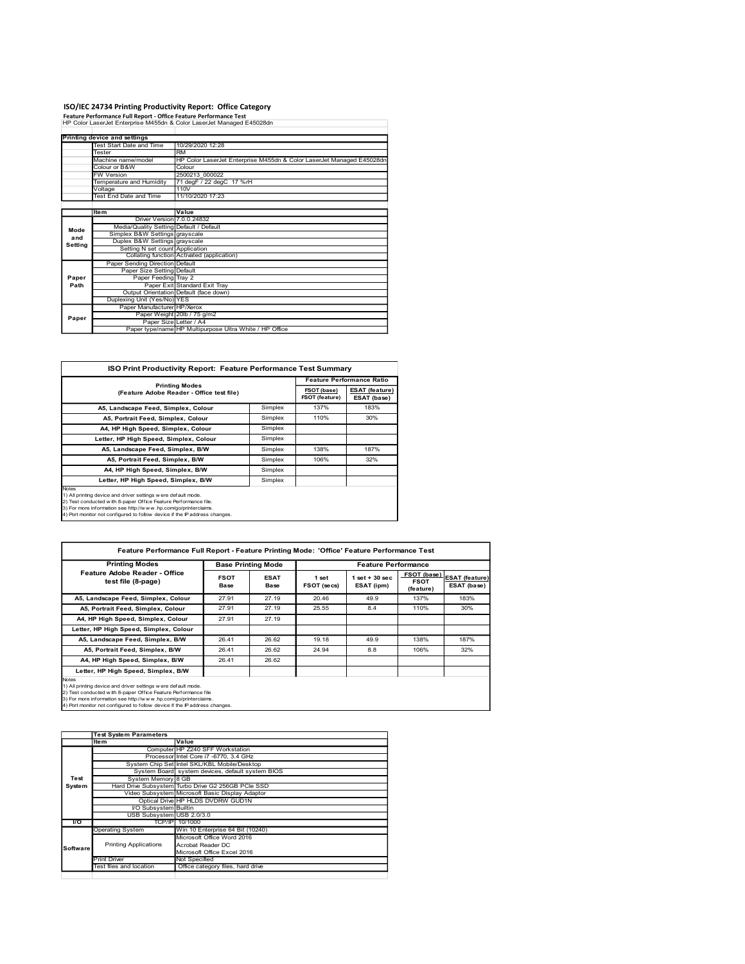## ISO/IEC 24734 Printing Productivity Report: Office Category Feature Performance Full Report - Office Feature Performance Test

|               | ISO/IEC 24734 Printing Productivity Report: Office Category                                                                                                                                                      |                                                         |                        |                                  |  |  |  |
|---------------|------------------------------------------------------------------------------------------------------------------------------------------------------------------------------------------------------------------|---------------------------------------------------------|------------------------|----------------------------------|--|--|--|
|               | Feature Performance Full Report - Office Feature Performance Test<br>HP Color LaserJet Enterprise M455dn & Color LaserJet Managed E45028dn                                                                       |                                                         |                        |                                  |  |  |  |
|               | Printing device and settings                                                                                                                                                                                     |                                                         |                        |                                  |  |  |  |
|               | Test Start Date and Time<br>10/29/2020 12:28<br>Tester<br><b>RM</b>                                                                                                                                              |                                                         |                        |                                  |  |  |  |
|               | Machine name/model<br>HP Color LaserJet Enterprise M455dn & Color LaserJet Managed E45028dn                                                                                                                      |                                                         |                        |                                  |  |  |  |
|               | Colour or B&W<br>Colour<br>W Version<br>2500213_000022                                                                                                                                                           |                                                         |                        |                                  |  |  |  |
|               | Femperature and Humidity<br>71 degF / 22 degC 17 %rH<br>110V<br>/oltage                                                                                                                                          |                                                         |                        |                                  |  |  |  |
|               | Test End Date and Time<br>11/10/2020 17:23                                                                                                                                                                       |                                                         |                        |                                  |  |  |  |
|               | Value<br>ltem                                                                                                                                                                                                    |                                                         |                        |                                  |  |  |  |
|               | Driver Version 7.0.0.24832<br>Media/Quality Setting Default / Default                                                                                                                                            |                                                         |                        |                                  |  |  |  |
| Mode<br>and   | Simplex B&W Settings grayscale                                                                                                                                                                                   |                                                         |                        |                                  |  |  |  |
| Setting       | Duplex B&W Settings grayscale<br>Setting N set count Application                                                                                                                                                 |                                                         |                        |                                  |  |  |  |
|               | Collating function Activated (application)                                                                                                                                                                       |                                                         |                        |                                  |  |  |  |
|               | Paper Sending Direction Default<br>Paper Size Setting Default                                                                                                                                                    |                                                         |                        |                                  |  |  |  |
| Paper<br>Path | Paper Feeding Tray 2                                                                                                                                                                                             |                                                         |                        |                                  |  |  |  |
|               | Paper Exit Standard Exit Tray<br>Output Orientation Default (face down)                                                                                                                                          |                                                         |                        |                                  |  |  |  |
|               | Duplexing Unit (Yes/No) YES<br>Paper Manufacturer HP/Xerox                                                                                                                                                       |                                                         |                        |                                  |  |  |  |
|               | Paper Weight 20lb / 75 g/m2                                                                                                                                                                                      |                                                         |                        |                                  |  |  |  |
| Paper         |                                                                                                                                                                                                                  | Paper type/name HP Multipurpose Ultra White / HP Office |                        |                                  |  |  |  |
|               | Paper Size Letter / A4                                                                                                                                                                                           |                                                         |                        |                                  |  |  |  |
|               |                                                                                                                                                                                                                  |                                                         |                        |                                  |  |  |  |
|               |                                                                                                                                                                                                                  |                                                         |                        |                                  |  |  |  |
|               | ISO Print Productivity Report: Feature Performance Test Summary                                                                                                                                                  |                                                         |                        |                                  |  |  |  |
|               |                                                                                                                                                                                                                  |                                                         |                        | <b>Feature Performance Ratio</b> |  |  |  |
|               | <b>Printing Modes</b><br>(Feature Adobe Reader - Office test file)                                                                                                                                               |                                                         | FSOT (base)            | <b>ESAT (feature)</b>            |  |  |  |
|               | A5, Landscape Feed, Simplex, Colour                                                                                                                                                                              | Simplex                                                 | FSOT (feature)<br>137% | ESAT (base)<br>183%              |  |  |  |
|               | A5, Portrait Feed, Simplex, Colour                                                                                                                                                                               | Simplex                                                 | 110%                   | 30%                              |  |  |  |
|               | A4, HP High Speed, Simplex, Colour                                                                                                                                                                               | Simplex                                                 |                        |                                  |  |  |  |
|               | Letter, HP High Speed, Simplex, Colour                                                                                                                                                                           | Simplex                                                 |                        |                                  |  |  |  |
|               | A5, Landscape Feed, Simplex, B/W                                                                                                                                                                                 | Simplex                                                 | 138%                   | 187%                             |  |  |  |
|               | A5, Portrait Feed, Simplex, B/W<br>A4, HP High Speed, Simplex, B/W                                                                                                                                               | Simplex<br>Simplex                                      | 106%                   | 32%                              |  |  |  |
|               | Letter, HP High Speed, Simplex, B/W                                                                                                                                                                              | Simplex                                                 |                        |                                  |  |  |  |
|               |                                                                                                                                                                                                                  |                                                         |                        |                                  |  |  |  |
|               | Notes<br>1) All printing device and driver settings were default mode.                                                                                                                                           |                                                         |                        |                                  |  |  |  |
|               | 2) Test conducted with 8-paper Office Feature Performance file.<br>3) For more information see http://www.hp.com/go/printerclaims.<br>4) Port monitor not configured to follow device if the IP address changes. |                                                         |                        |                                  |  |  |  |

|         | W Version                                                                                                                                                                                                                                                                                                                 | 2500213_000022                                                                             |                                          |                               |                                                |                                      |  |  |  |  |
|---------|---------------------------------------------------------------------------------------------------------------------------------------------------------------------------------------------------------------------------------------------------------------------------------------------------------------------------|--------------------------------------------------------------------------------------------|------------------------------------------|-------------------------------|------------------------------------------------|--------------------------------------|--|--|--|--|
|         | Femperature and Humidity                                                                                                                                                                                                                                                                                                  | 71 degF / 22 degC 17 %rH                                                                   |                                          |                               |                                                |                                      |  |  |  |  |
|         | /oltage                                                                                                                                                                                                                                                                                                                   | 110V                                                                                       |                                          |                               |                                                |                                      |  |  |  |  |
|         | <b>Fest End Date and Time</b>                                                                                                                                                                                                                                                                                             | 11/10/2020 17:23                                                                           |                                          |                               |                                                |                                      |  |  |  |  |
|         |                                                                                                                                                                                                                                                                                                                           |                                                                                            |                                          |                               |                                                |                                      |  |  |  |  |
|         | <b>Item</b>                                                                                                                                                                                                                                                                                                               | Value                                                                                      |                                          |                               |                                                |                                      |  |  |  |  |
|         | Driver Version 7.0.0.24832                                                                                                                                                                                                                                                                                                |                                                                                            |                                          |                               |                                                |                                      |  |  |  |  |
| Mode    | Media/Quality Setting Default / Default                                                                                                                                                                                                                                                                                   |                                                                                            |                                          |                               |                                                |                                      |  |  |  |  |
| and     | Simplex B&W Settings grayscale                                                                                                                                                                                                                                                                                            |                                                                                            |                                          |                               |                                                |                                      |  |  |  |  |
| Setting | Duplex B&W Settings grayscale                                                                                                                                                                                                                                                                                             |                                                                                            |                                          |                               |                                                |                                      |  |  |  |  |
|         | Setting N set count Application                                                                                                                                                                                                                                                                                           |                                                                                            |                                          |                               |                                                |                                      |  |  |  |  |
|         |                                                                                                                                                                                                                                                                                                                           | Collating function Activated (application)                                                 |                                          |                               |                                                |                                      |  |  |  |  |
|         | Paper Sending Direction Default                                                                                                                                                                                                                                                                                           |                                                                                            |                                          |                               |                                                |                                      |  |  |  |  |
|         | Paper Size Setting Default                                                                                                                                                                                                                                                                                                |                                                                                            |                                          |                               |                                                |                                      |  |  |  |  |
| Paper   | Paper Feeding Tray 2                                                                                                                                                                                                                                                                                                      |                                                                                            |                                          |                               |                                                |                                      |  |  |  |  |
| Path    |                                                                                                                                                                                                                                                                                                                           | Paper Exit Standard Exit Tray                                                              |                                          |                               |                                                |                                      |  |  |  |  |
|         | Output Orientation Default (face down)                                                                                                                                                                                                                                                                                    |                                                                                            |                                          |                               |                                                |                                      |  |  |  |  |
|         | Duplexing Unit (Yes/No) YES                                                                                                                                                                                                                                                                                               |                                                                                            |                                          |                               |                                                |                                      |  |  |  |  |
|         | Paper Manufacturer HP/Xerox                                                                                                                                                                                                                                                                                               |                                                                                            |                                          |                               |                                                |                                      |  |  |  |  |
| Paper   | Paper Weight 20lb / 75 g/m2                                                                                                                                                                                                                                                                                               |                                                                                            |                                          |                               |                                                |                                      |  |  |  |  |
|         |                                                                                                                                                                                                                                                                                                                           | Paper Size Letter / A4<br>Paper type/name HP Multipurpose Ultra White / HP Office          |                                          |                               |                                                |                                      |  |  |  |  |
|         |                                                                                                                                                                                                                                                                                                                           |                                                                                            |                                          |                               |                                                |                                      |  |  |  |  |
|         | <b>ISO Print Productivity Report: Feature Performance Test Summary</b>                                                                                                                                                                                                                                                    |                                                                                            |                                          |                               | <b>Feature Performance Ratio</b>               |                                      |  |  |  |  |
|         |                                                                                                                                                                                                                                                                                                                           | <b>Printing Modes</b>                                                                      |                                          |                               |                                                |                                      |  |  |  |  |
|         |                                                                                                                                                                                                                                                                                                                           | (Feature Adobe Reader - Office test file)                                                  |                                          | FSOT (base)<br>FSOT (feature) | <b>ESAT (feature)</b><br>ESAT (base)           |                                      |  |  |  |  |
|         | A5, Landscape Feed, Simplex, Colour                                                                                                                                                                                                                                                                                       |                                                                                            | Simplex                                  | 137%                          | 183%                                           |                                      |  |  |  |  |
|         | A5, Portrait Feed, Simplex, Colour                                                                                                                                                                                                                                                                                        |                                                                                            | Simplex                                  | 110%                          | 30%                                            |                                      |  |  |  |  |
|         | A4, HP High Speed, Simplex, Colour                                                                                                                                                                                                                                                                                        |                                                                                            | Simplex                                  |                               |                                                |                                      |  |  |  |  |
|         |                                                                                                                                                                                                                                                                                                                           | Letter, HP High Speed, Simplex, Colour<br>Simplex                                          |                                          |                               |                                                |                                      |  |  |  |  |
|         |                                                                                                                                                                                                                                                                                                                           |                                                                                            |                                          |                               |                                                |                                      |  |  |  |  |
|         | A5, Landscape Feed, Simplex, B/W                                                                                                                                                                                                                                                                                          |                                                                                            | Simplex                                  | 138%                          | 187%                                           |                                      |  |  |  |  |
|         | A5, Portrait Feed, Simplex, B/W                                                                                                                                                                                                                                                                                           |                                                                                            | Simplex                                  | 106%                          | 32%                                            |                                      |  |  |  |  |
|         | A4, HP High Speed, Simplex, B/W                                                                                                                                                                                                                                                                                           |                                                                                            | Simplex                                  |                               |                                                |                                      |  |  |  |  |
|         | Letter, HP High Speed, Simplex, B/W<br>1) All printing device and driver settings w ere default mode.<br>2) Test conducted with 8-paper Office Feature Performance file.<br>3) For more information see http://www.hp.com/go/printerclaims.<br>4) Port monitor not configured to follow device if the IP address changes. |                                                                                            | Simplex                                  |                               |                                                |                                      |  |  |  |  |
|         |                                                                                                                                                                                                                                                                                                                           |                                                                                            |                                          |                               |                                                |                                      |  |  |  |  |
| Notes   |                                                                                                                                                                                                                                                                                                                           | Feature Performance Full Report - Feature Printing Mode: 'Office' Feature Performance Test |                                          |                               |                                                |                                      |  |  |  |  |
|         | <b>Printing Modes</b><br>Feature Adobe Reader - Office                                                                                                                                                                                                                                                                    | <b>FSOT</b>                                                                                | <b>Base Printing Mode</b><br><b>ESAT</b> | 1 set                         | <b>Feature Performance</b><br>$1$ set + 30 sec | FSOT (base)<br><b>ESAT</b> (feature) |  |  |  |  |

| Paper                                             | Paper Feeding Tray 2                                                                                                               |                       |                                                                            |             |                |                                  |                            |                       |
|---------------------------------------------------|------------------------------------------------------------------------------------------------------------------------------------|-----------------------|----------------------------------------------------------------------------|-------------|----------------|----------------------------------|----------------------------|-----------------------|
| Path                                              | Paper Exit Standard Exit Tray                                                                                                      |                       |                                                                            |             |                |                                  |                            |                       |
|                                                   | Output Orientation Default (face down)                                                                                             |                       |                                                                            |             |                |                                  |                            |                       |
|                                                   | Duplexing Unit (Yes/No) YES<br>Paper Manufacturer HP/Xerox                                                                         |                       |                                                                            |             |                |                                  |                            |                       |
|                                                   | Paper Weight 20lb / 75 g/m2                                                                                                        |                       |                                                                            |             |                |                                  |                            |                       |
| Paper                                             | Paper Size Letter / A4                                                                                                             |                       |                                                                            |             |                |                                  |                            |                       |
|                                                   | Paper type/name HP Multipurpose Ultra White / HP Office                                                                            |                       |                                                                            |             |                |                                  |                            |                       |
|                                                   |                                                                                                                                    |                       |                                                                            |             |                |                                  |                            |                       |
|                                                   |                                                                                                                                    |                       |                                                                            |             |                |                                  |                            |                       |
|                                                   |                                                                                                                                    |                       |                                                                            |             |                |                                  |                            |                       |
|                                                   | ISO Print Productivity Report: Feature Performance Test Summary                                                                    |                       |                                                                            |             |                |                                  |                            |                       |
|                                                   |                                                                                                                                    | <b>Printing Modes</b> |                                                                            |             |                | <b>Feature Performance Ratio</b> |                            |                       |
|                                                   | (Feature Adobe Reader - Office test file)                                                                                          |                       |                                                                            |             | FSOT (base)    | ESAT (feature)                   |                            |                       |
|                                                   |                                                                                                                                    |                       |                                                                            |             | FSOT (feature) | ESAT (base)                      |                            |                       |
|                                                   | A5, Landscape Feed, Simplex, Colour                                                                                                |                       |                                                                            | Simplex     | 137%           | 183%                             |                            |                       |
|                                                   | A5, Portrait Feed, Simplex, Colour                                                                                                 |                       |                                                                            | Simplex     | 110%           | 30%                              |                            |                       |
|                                                   | A4, HP High Speed, Simplex, Colour                                                                                                 |                       |                                                                            | Simplex     |                |                                  |                            |                       |
| Letter, HP High Speed, Simplex, Colour<br>Simplex |                                                                                                                                    |                       |                                                                            |             |                |                                  |                            |                       |
|                                                   | A5, Landscape Feed, Simplex, B/W                                                                                                   |                       |                                                                            | Simplex     | 138%           | 187%                             |                            |                       |
|                                                   | A5, Portrait Feed, Simplex, B/W                                                                                                    |                       |                                                                            | Simplex     | 106%           | 32%                              |                            |                       |
|                                                   | A4, HP High Speed, Simplex, B/W                                                                                                    |                       |                                                                            | Simplex     |                |                                  |                            |                       |
|                                                   | Letter, HP High Speed, Simplex, B/W                                                                                                |                       |                                                                            | Simplex     |                |                                  |                            |                       |
| Notes                                             |                                                                                                                                    |                       |                                                                            |             |                |                                  |                            |                       |
|                                                   | 1) All printing device and driver settings w ere default mode.                                                                     |                       |                                                                            |             |                |                                  |                            |                       |
|                                                   | 2) Test conducted with 8-paper Office Feature Performance file.<br>3) For more information see http://www.hp.com/go/printerclaims. |                       |                                                                            |             |                |                                  |                            |                       |
|                                                   | 4) Port monitor not configured to follow device if the IP address changes.                                                         |                       |                                                                            |             |                |                                  |                            |                       |
|                                                   |                                                                                                                                    |                       |                                                                            |             |                |                                  |                            |                       |
|                                                   |                                                                                                                                    |                       |                                                                            |             |                |                                  |                            |                       |
|                                                   |                                                                                                                                    |                       |                                                                            |             |                |                                  |                            |                       |
|                                                   | Feature Performance Full Report - Feature Printing Mode: 'Office' Feature Performance Test                                         |                       |                                                                            |             |                |                                  |                            |                       |
|                                                   | <b>Printing Modes</b>                                                                                                              |                       |                                                                            |             |                |                                  | <b>Feature Performance</b> |                       |
|                                                   | <b>Base Printing Mode</b><br>Feature Adobe Reader - Office                                                                         |                       |                                                                            |             |                |                                  | FSOT (base)                |                       |
|                                                   | test file (8-page)                                                                                                                 |                       | <b>FSOT</b>                                                                | <b>ESAT</b> | 1 set          | $1 set + 30 sec$                 | <b>FSOT</b>                | <b>ESAT (feature)</b> |
|                                                   |                                                                                                                                    |                       | Base                                                                       | Base        | FSOT (secs)    | ESAT (ipm)                       | (feature)                  | ESAT (base)           |
|                                                   | A5, Landscape Feed, Simplex, Colour                                                                                                |                       | 27.91                                                                      | 27.19       | 20.46          | 49.9                             | 137%                       | 183%                  |
|                                                   | A5, Portrait Feed, Simplex, Colour                                                                                                 |                       | 27.91                                                                      | 27.19       | 25.55          | 8.4                              | 110%                       | 30%                   |
|                                                   | A4, HP High Speed, Simplex, Colour                                                                                                 |                       | 27.91                                                                      | 27.19       |                |                                  |                            |                       |
|                                                   |                                                                                                                                    |                       |                                                                            |             |                |                                  |                            |                       |
|                                                   | Letter, HP High Speed, Simplex, Colour                                                                                             |                       |                                                                            |             |                |                                  |                            |                       |
|                                                   | A5, Landscape Feed, Simplex, B/W                                                                                                   |                       | 26.41                                                                      | 26.62       | 19.18          | 49.9                             | 138%                       | 187%                  |
|                                                   | A5, Portrait Feed, Simplex, B/W                                                                                                    |                       | 26.41                                                                      | 26.62       | 24.94          | 8.8                              | 106%                       | 32%                   |
|                                                   | A4, HP High Speed, Simplex, B/W                                                                                                    |                       | 26.41                                                                      | 26.62       |                |                                  |                            |                       |
|                                                   | Letter, HP High Speed, Simplex, B/W                                                                                                |                       |                                                                            |             |                |                                  |                            |                       |
| Notes                                             |                                                                                                                                    |                       |                                                                            |             |                |                                  |                            |                       |
|                                                   | 1) All printing device and driver settings w ere default mode.<br>2) Test conducted with 8-paper Office Feature Performance file   |                       |                                                                            |             |                |                                  |                            |                       |
|                                                   | 3) For more information see http://www.hp.com/go/printerclaims.                                                                    |                       |                                                                            |             |                |                                  |                            |                       |
|                                                   | 4) Port monitor not configured to follow device if the IP address changes                                                          |                       |                                                                            |             |                |                                  |                            |                       |
|                                                   |                                                                                                                                    |                       |                                                                            |             |                |                                  |                            |                       |
|                                                   |                                                                                                                                    |                       |                                                                            |             |                |                                  |                            |                       |
|                                                   | <b>Test System Parameters</b>                                                                                                      |                       |                                                                            |             |                |                                  |                            |                       |
|                                                   | Item                                                                                                                               | Value                 |                                                                            |             |                |                                  |                            |                       |
|                                                   |                                                                                                                                    |                       | Computer HP Z240 SFF Workstation<br>Processor Intel Core i7 -6770, 3.4 GHz |             |                |                                  |                            |                       |
|                                                   | System Chip Set Intel SKL/KBL Mobile/Desktop                                                                                       |                       |                                                                            |             |                |                                  |                            |                       |
|                                                   | System Board system devices, default system BIOS                                                                                   |                       |                                                                            |             |                |                                  |                            |                       |
| Test                                              | System Memory 8 GB                                                                                                                 |                       |                                                                            |             |                |                                  |                            |                       |
| System                                            | Hard Drive Subsystem Turbo Drive G2 256GB PCIe SSD                                                                                 |                       |                                                                            |             |                |                                  |                            |                       |
|                                                   | Video Subsystem Microsoft Basic Display Adaptor                                                                                    |                       | Optical Drive HP HLDS DVDRW GUD1N                                          |             |                |                                  |                            |                       |
|                                                   | I/O Subsystem Builtin                                                                                                              |                       |                                                                            |             |                |                                  |                            |                       |
|                                                   | USB Subsystem USB 2.0/3.0                                                                                                          |                       |                                                                            |             |                |                                  |                            |                       |
| vo                                                |                                                                                                                                    | TCP/IP 10/1000        |                                                                            |             |                |                                  |                            |                       |
|                                                   | Operating System                                                                                                                   |                       | Win 10 Enterprise 64 Bit (10240)<br>Microsoft Office Word 2016             |             |                |                                  |                            |                       |
|                                                   | <b>Printing Applications</b>                                                                                                       | Acrobat Reader DC     |                                                                            |             |                |                                  |                            |                       |
| Software                                          |                                                                                                                                    |                       |                                                                            |             |                |                                  |                            |                       |
|                                                   | Microsoft Office Excel 2016                                                                                                        |                       |                                                                            |             |                |                                  |                            |                       |
|                                                   | <b>Print Driver</b><br>Not Specified<br>Office category files, hard drive                                                          |                       |                                                                            |             |                |                                  |                            |                       |
|                                                   | Test files and location                                                                                                            |                       |                                                                            |             |                |                                  |                            |                       |
|                                                   |                                                                                                                                    |                       |                                                                            |             |                |                                  |                            |                       |
|                                                   |                                                                                                                                    |                       |                                                                            |             |                |                                  |                            |                       |
|                                                   |                                                                                                                                    |                       |                                                                            |             |                |                                  |                            |                       |
|                                                   |                                                                                                                                    |                       |                                                                            |             |                |                                  |                            |                       |
|                                                   |                                                                                                                                    |                       |                                                                            |             |                |                                  |                            |                       |
|                                                   |                                                                                                                                    |                       |                                                                            |             |                |                                  |                            |                       |
|                                                   |                                                                                                                                    |                       |                                                                            |             |                |                                  |                            |                       |

| Value<br><b>Item</b><br>Computer HP Z240 SFF Workstation<br>Processor Intel Core i7 -6770, 3.4 GHz<br>System Chip Set Intel SKL/KBL Mobile/Desktop<br>System Board system devices, default system BIOS<br>Test<br>System Memory 8 GB<br>System<br>Hard Drive Subsystem Turbo Drive G2 256GB PCIe SSD<br>Video Subsystem Microsoft Basic Display Adaptor<br>Optical Drive HP HLDS DVDRW GUD1N<br><b>VO Subsystem Builtin</b><br>USB Subsystem USB 2.0/3.0<br>TCP/IPI 10/1000<br>VO.<br>Win 10 Enterprise 64 Bit (10240)<br><b>Operating System</b><br>Microsoft Office Word 2016<br><b>Printing Applications</b><br>Acrobat Reader DC<br><b>Software</b><br>Microsoft Office Excel 2016<br><b>Print Driver</b><br>Not Specified<br>Office category files, hard drive<br>Test files and location | <b>Test System Parameters</b> |  |  |  |  |  |
|------------------------------------------------------------------------------------------------------------------------------------------------------------------------------------------------------------------------------------------------------------------------------------------------------------------------------------------------------------------------------------------------------------------------------------------------------------------------------------------------------------------------------------------------------------------------------------------------------------------------------------------------------------------------------------------------------------------------------------------------------------------------------------------------|-------------------------------|--|--|--|--|--|
|                                                                                                                                                                                                                                                                                                                                                                                                                                                                                                                                                                                                                                                                                                                                                                                                |                               |  |  |  |  |  |
|                                                                                                                                                                                                                                                                                                                                                                                                                                                                                                                                                                                                                                                                                                                                                                                                |                               |  |  |  |  |  |
|                                                                                                                                                                                                                                                                                                                                                                                                                                                                                                                                                                                                                                                                                                                                                                                                |                               |  |  |  |  |  |
|                                                                                                                                                                                                                                                                                                                                                                                                                                                                                                                                                                                                                                                                                                                                                                                                |                               |  |  |  |  |  |
|                                                                                                                                                                                                                                                                                                                                                                                                                                                                                                                                                                                                                                                                                                                                                                                                |                               |  |  |  |  |  |
|                                                                                                                                                                                                                                                                                                                                                                                                                                                                                                                                                                                                                                                                                                                                                                                                |                               |  |  |  |  |  |
|                                                                                                                                                                                                                                                                                                                                                                                                                                                                                                                                                                                                                                                                                                                                                                                                |                               |  |  |  |  |  |
|                                                                                                                                                                                                                                                                                                                                                                                                                                                                                                                                                                                                                                                                                                                                                                                                |                               |  |  |  |  |  |
|                                                                                                                                                                                                                                                                                                                                                                                                                                                                                                                                                                                                                                                                                                                                                                                                |                               |  |  |  |  |  |
|                                                                                                                                                                                                                                                                                                                                                                                                                                                                                                                                                                                                                                                                                                                                                                                                |                               |  |  |  |  |  |
|                                                                                                                                                                                                                                                                                                                                                                                                                                                                                                                                                                                                                                                                                                                                                                                                |                               |  |  |  |  |  |
|                                                                                                                                                                                                                                                                                                                                                                                                                                                                                                                                                                                                                                                                                                                                                                                                |                               |  |  |  |  |  |
|                                                                                                                                                                                                                                                                                                                                                                                                                                                                                                                                                                                                                                                                                                                                                                                                |                               |  |  |  |  |  |
|                                                                                                                                                                                                                                                                                                                                                                                                                                                                                                                                                                                                                                                                                                                                                                                                |                               |  |  |  |  |  |
|                                                                                                                                                                                                                                                                                                                                                                                                                                                                                                                                                                                                                                                                                                                                                                                                |                               |  |  |  |  |  |
|                                                                                                                                                                                                                                                                                                                                                                                                                                                                                                                                                                                                                                                                                                                                                                                                |                               |  |  |  |  |  |
|                                                                                                                                                                                                                                                                                                                                                                                                                                                                                                                                                                                                                                                                                                                                                                                                |                               |  |  |  |  |  |
|                                                                                                                                                                                                                                                                                                                                                                                                                                                                                                                                                                                                                                                                                                                                                                                                |                               |  |  |  |  |  |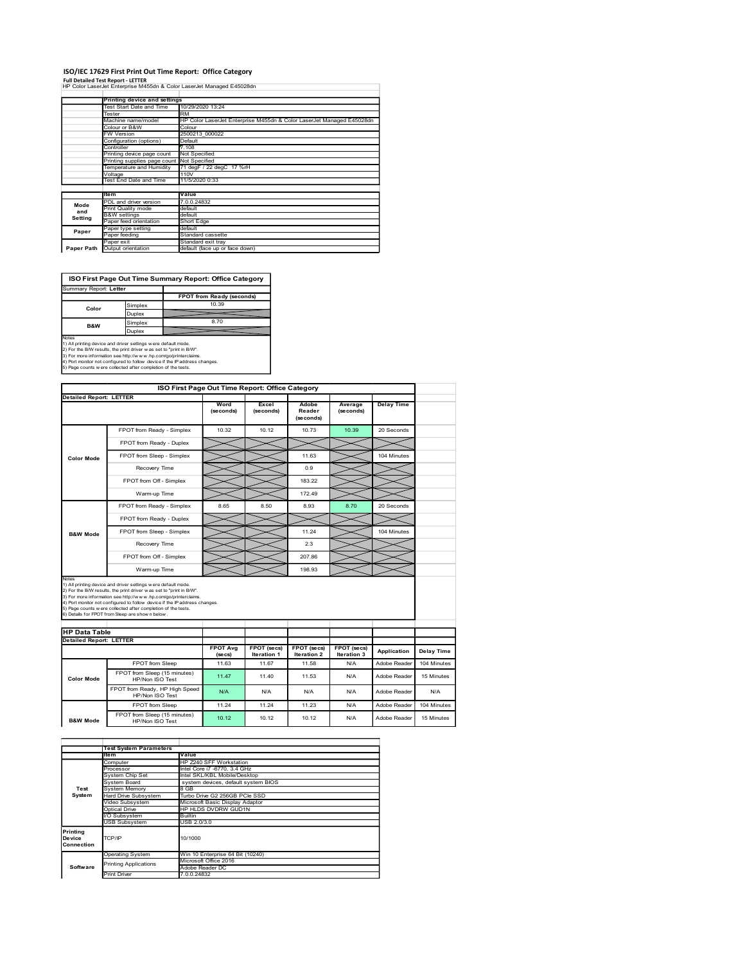### ISO/IEC 17629 First Print Out Time Report: Office Category Full Detailed Test Report - LETTER

|                                | ISO/IEC 17629 First Print Out Time Report: Office Category<br><b>Full Detailed Test Report - LETTER</b>                                       |                                                                                 |           |                    |           |                   |  |  |  |
|--------------------------------|-----------------------------------------------------------------------------------------------------------------------------------------------|---------------------------------------------------------------------------------|-----------|--------------------|-----------|-------------------|--|--|--|
|                                | HP Color LaserJet Enterprise M455dn & Color LaserJet Managed E45028dn                                                                         |                                                                                 |           |                    |           |                   |  |  |  |
|                                | Printing device and settings<br>Test Start Date and Time                                                                                      | 10/29/2020 13:24                                                                |           |                    |           |                   |  |  |  |
|                                | Tester<br>Machine name/model                                                                                                                  | ₹M                                                                              |           |                    |           |                   |  |  |  |
|                                | Colour or B&W                                                                                                                                 | HP Color LaserJet Enterprise M455dn & Color LaserJet Managed E45028dn<br>Colour |           |                    |           |                   |  |  |  |
|                                | <b>FW Version</b><br>Configuration (options)                                                                                                  | 2500213_000022<br>Default                                                       |           |                    |           |                   |  |  |  |
|                                | Controller<br>Printing device page count                                                                                                      | 7.108<br>Not Specified                                                          |           |                    |           |                   |  |  |  |
|                                | Printing supplies page count<br>Temperature and Humidity                                                                                      | Not Specified<br>71 degF / 22 degC 17 %rH                                       |           |                    |           |                   |  |  |  |
|                                | Voltage<br>Test End Date and Time                                                                                                             | 110V<br>11/5/2020 0:33                                                          |           |                    |           |                   |  |  |  |
|                                | Item                                                                                                                                          | Value                                                                           |           |                    |           |                   |  |  |  |
| Mode                           | PDL and driver version                                                                                                                        | .0.0.24832                                                                      |           |                    |           |                   |  |  |  |
| and<br>Setting                 | Print Quality mode<br><b>B&amp;W</b> settings                                                                                                 | default<br>default                                                              |           |                    |           |                   |  |  |  |
| Paper                          | Paper feed orientation<br>Paper type setting                                                                                                  | Short Edge<br>default                                                           |           |                    |           |                   |  |  |  |
|                                | Paper feeding<br>Paper exit                                                                                                                   | Standard cassette<br>Standard exit tray                                         |           |                    |           |                   |  |  |  |
|                                |                                                                                                                                               | default (face up or face down)                                                  |           |                    |           |                   |  |  |  |
|                                | Paper Path Output orientation                                                                                                                 |                                                                                 |           |                    |           |                   |  |  |  |
|                                |                                                                                                                                               |                                                                                 |           |                    |           |                   |  |  |  |
|                                | ISO First Page Out Time Summary Report: Office Category                                                                                       |                                                                                 |           |                    |           |                   |  |  |  |
| Summary Report: Letter         |                                                                                                                                               |                                                                                 |           |                    |           |                   |  |  |  |
|                                |                                                                                                                                               | <b>FPOT from Ready (seconds)</b><br>10.39                                       |           |                    |           |                   |  |  |  |
| Color                          | Simplex<br>Duplex                                                                                                                             |                                                                                 |           |                    |           |                   |  |  |  |
| B&W                            | Simplex                                                                                                                                       | 8.70                                                                            |           |                    |           |                   |  |  |  |
|                                | Duplex                                                                                                                                        |                                                                                 |           |                    |           |                   |  |  |  |
| Notes                          | 1) All printing device and driver settings were default mode.<br>2) For the B/W results, the print driver was set to "print in B/W".          |                                                                                 |           |                    |           |                   |  |  |  |
|                                | 3) For more information see http://www.hp.com/go/printerclaims.<br>4) Port monitor not configured to follow device if the IP address changes. |                                                                                 |           |                    |           |                   |  |  |  |
|                                | 5) Page counts w ere collected after completion of the tests.                                                                                 |                                                                                 |           |                    |           |                   |  |  |  |
|                                |                                                                                                                                               | ISO First Page Out Time Report: Office Category                                 |           |                    |           |                   |  |  |  |
|                                |                                                                                                                                               | Word                                                                            | Excel     | Adobe              | Average   | <b>Delay Time</b> |  |  |  |
|                                |                                                                                                                                               | (seconds)                                                                       | (seconds) | Reader             | (seconds) |                   |  |  |  |
| <b>Detailed Report: LETTER</b> | FPOT from Ready - Simplex                                                                                                                     | 10.32                                                                           | 10.12     | (seconds)<br>10.73 | 10.39     | 20 Seconds        |  |  |  |

|       |         | FPOT from Ready (seconds) |
|-------|---------|---------------------------|
| Color | Simplex | 10.39                     |
|       | Duplex  |                           |
|       |         |                           |

|                                | Tester                                                                                                                                        | <b>RM</b>                                          |                                                                       |                                                 |                                               |                                   |                          |             |
|--------------------------------|-----------------------------------------------------------------------------------------------------------------------------------------------|----------------------------------------------------|-----------------------------------------------------------------------|-------------------------------------------------|-----------------------------------------------|-----------------------------------|--------------------------|-------------|
|                                | Machine name/model                                                                                                                            |                                                    | HP Color LaserJet Enterprise M455dn & Color LaserJet Managed E45028dn |                                                 |                                               |                                   |                          |             |
|                                | Colour or B&W<br>FW Version                                                                                                                   | Colour<br>2500213_000022                           |                                                                       |                                                 |                                               |                                   |                          |             |
|                                | Configuration (options)<br>Default<br>Controller<br>7.108                                                                                     |                                                    |                                                                       |                                                 |                                               |                                   |                          |             |
|                                | Printing device page count<br>Printing supplies page count                                                                                    | Not Specified<br>Not Specified                     |                                                                       |                                                 |                                               |                                   |                          |             |
|                                | Temperature and Humidity<br>71 degF / 22 degC 17 %rH<br>Voltage<br>110V                                                                       |                                                    |                                                                       |                                                 |                                               |                                   |                          |             |
|                                | Test End Date and Time                                                                                                                        | 11/5/2020 0:33                                     |                                                                       |                                                 |                                               |                                   |                          |             |
|                                | ltem<br>PDL and driver version                                                                                                                | Value<br>7.0.0.24832                               |                                                                       |                                                 |                                               |                                   |                          |             |
| Mode<br>and                    | Print Quality mode<br><b>B&amp;W</b> settings                                                                                                 | default<br>default                                 |                                                                       |                                                 |                                               |                                   |                          |             |
| <b>Setting</b>                 | Paper feed orientation                                                                                                                        | Short Edge                                         |                                                                       |                                                 |                                               |                                   |                          |             |
| Paper                          | Paper type setting<br>Paper feeding                                                                                                           | default<br>Standard cassette<br>Standard exit tray |                                                                       |                                                 |                                               |                                   |                          |             |
| Paper Path                     | Paper exit<br>Output orientation                                                                                                              |                                                    | default (face up or face down)                                        |                                                 |                                               |                                   |                          |             |
|                                |                                                                                                                                               |                                                    |                                                                       |                                                 |                                               |                                   |                          |             |
|                                | ISO First Page Out Time Summary Report: Office Category                                                                                       |                                                    |                                                                       |                                                 |                                               |                                   |                          |             |
| Summary Report: Letter         |                                                                                                                                               |                                                    |                                                                       |                                                 |                                               |                                   |                          |             |
|                                | FPOT from Ready (seconds)<br>10.39                                                                                                            |                                                    |                                                                       |                                                 |                                               |                                   |                          |             |
| Color                          | Simplex<br>Duplex                                                                                                                             |                                                    |                                                                       |                                                 |                                               |                                   |                          |             |
| B&W                            | Simplex                                                                                                                                       |                                                    | 8.70                                                                  |                                                 |                                               |                                   |                          |             |
|                                | Duplex<br>Notes<br>1) All printing device and driver settings were default mode.                                                              |                                                    |                                                                       |                                                 |                                               |                                   |                          |             |
|                                | 2) For the B/W results, the print driver was set to "print in B/W".                                                                           |                                                    |                                                                       |                                                 |                                               |                                   |                          |             |
|                                | 3) For more information see http://www.hp.com/go/printerclaims.<br>4) Port monitor not configured to follow device if the IP address changes. |                                                    |                                                                       |                                                 |                                               |                                   |                          |             |
|                                | 5) Page counts w ere collected after completion of the tests.                                                                                 |                                                    |                                                                       |                                                 |                                               |                                   |                          |             |
|                                |                                                                                                                                               |                                                    |                                                                       | ISO First Page Out Time Report: Office Category |                                               |                                   |                          |             |
| <b>Detailed Report: LETTER</b> |                                                                                                                                               |                                                    |                                                                       |                                                 |                                               |                                   |                          |             |
|                                |                                                                                                                                               |                                                    | Word<br>(seconds)                                                     | Excel<br>(seconds)                              | Adobe<br>Reader                               | Average<br>(seconds)              | <b>Delay Time</b>        |             |
|                                |                                                                                                                                               |                                                    |                                                                       |                                                 | (seconds)                                     |                                   |                          |             |
|                                | FPOT from Ready - Simplex                                                                                                                     |                                                    | 10.32                                                                 | 10.12                                           | 10.73                                         | 10.39                             | 20 Seconds               |             |
|                                | FPOT from Ready - Duplex                                                                                                                      |                                                    |                                                                       |                                                 |                                               |                                   |                          |             |
| <b>Color Mode</b>              | FPOT from Sleep - Simplex                                                                                                                     |                                                    |                                                                       |                                                 | 11.63                                         |                                   | 104 Minutes              |             |
|                                | Recovery Time                                                                                                                                 |                                                    |                                                                       |                                                 | 0.9                                           |                                   |                          |             |
|                                | FPOT from Off - Simplex                                                                                                                       |                                                    |                                                                       |                                                 | 183.22                                        |                                   |                          |             |
|                                | Warm-up Time                                                                                                                                  |                                                    |                                                                       |                                                 | 172.49                                        |                                   |                          |             |
|                                | FPOT from Ready - Simplex                                                                                                                     |                                                    | 8.65                                                                  | 8.50                                            | 8.93                                          | 8.70                              | 20 Seconds               |             |
|                                | FPOT from Ready - Duplex                                                                                                                      |                                                    |                                                                       |                                                 |                                               |                                   |                          |             |
| <b>B&amp;W Mode</b>            | FPOT from Sleep - Simplex                                                                                                                     |                                                    |                                                                       |                                                 | 11.24                                         |                                   | 104 Minutes              |             |
|                                | Recovery Time                                                                                                                                 |                                                    |                                                                       |                                                 | 2.3                                           |                                   |                          |             |
|                                | FPOT from Off - Simplex                                                                                                                       |                                                    |                                                                       |                                                 | 207.86                                        |                                   |                          |             |
|                                | Warm-up Time                                                                                                                                  |                                                    |                                                                       |                                                 | 198.93                                        |                                   |                          |             |
|                                | Notes<br>1) All printing device and driver settings were default mode.                                                                        |                                                    |                                                                       |                                                 |                                               |                                   |                          |             |
|                                | 2) For the B/W results, the print driver was set to "print in B/W".<br>3) For more information see http://www.hp.com/go/printerclaims.        |                                                    |                                                                       |                                                 |                                               |                                   |                          |             |
|                                | 4) Port monitor not configured to follow device if the IP address changes.                                                                    |                                                    |                                                                       |                                                 |                                               |                                   |                          |             |
|                                | 5) Page counts w ere collected after completion of the tests.<br>6) Details for FPOT from Sleep are show n below                              |                                                    |                                                                       |                                                 |                                               |                                   |                          |             |
| <b>HP Data Table</b>           |                                                                                                                                               |                                                    |                                                                       |                                                 |                                               |                                   |                          |             |
| <b>Detailed Report: LETTER</b> |                                                                                                                                               |                                                    |                                                                       |                                                 |                                               |                                   |                          |             |
|                                |                                                                                                                                               |                                                    | <b>FPOT Avg</b><br>(secs)                                             | Iteration 1                                     | FPOT (secs) FPOT (secs)<br><b>Iteration 2</b> | FPOT (secs)<br><b>Iteration 3</b> | Application   Delay Time |             |
|                                | FPOT from Sleep                                                                                                                               |                                                    | 11.63                                                                 | 11.67                                           | 11.58                                         | N/A                               | Adobe Reader             | 104 Minutes |
| <b>Color Mode</b>              | FPOT from Sleep (15 minutes)<br>HP/Non ISO Test                                                                                               |                                                    | 11.47                                                                 | 11.40                                           | 11.53                                         | N/A                               | Adobe Reader             | 15 Minutes  |
|                                | FPOT from Ready, HP High Speed                                                                                                                |                                                    | N/A                                                                   | N/A                                             | N/A                                           | N/A                               | Adobe Reader             | N/A         |
|                                | HP/Non ISO Test<br>FPOT from Sleep                                                                                                            |                                                    | 11.24                                                                 | 11.24                                           | 11.23                                         | N/A                               | Adobe Reader             | 104 Minutes |
|                                | FPOT from Sleep (15 minutes)                                                                                                                  |                                                    |                                                                       |                                                 |                                               |                                   |                          |             |
| <b>B&amp;W Mode</b>            | HP/Non ISO Test                                                                                                                               |                                                    | 10.12                                                                 | 10.12                                           | 10.12                                         | N/A                               | Adobe Reader             | 15 Minutes  |
|                                |                                                                                                                                               |                                                    |                                                                       |                                                 |                                               |                                   |                          |             |
|                                | <b>Test System Parameters</b>                                                                                                                 |                                                    |                                                                       |                                                 |                                               |                                   |                          |             |
|                                | ltem<br>Computer                                                                                                                              | Value                                              | HP Z240 SFF Workstation                                               |                                                 |                                               |                                   |                          |             |
|                                | Processor<br>System Chip Set                                                                                                                  |                                                    | Intel Core i7 -6770, 3.4 GHz<br>Intel SKL/KBL Mobile/Desktop          |                                                 |                                               |                                   |                          |             |
| Test                           | System Board<br>System Memory                                                                                                                 | 8 GB                                               | system devices, default system BIOS                                   |                                                 |                                               |                                   |                          |             |
| System                         | Hard Drive Subsystem                                                                                                                          |                                                    | Turbo Drive G2 256GB PCle SSD                                         |                                                 |                                               |                                   |                          |             |
|                                | Video Subsystem<br><b>Optical Drive</b>                                                                                                       |                                                    | Microsoft Basic Display Adaptor<br>HP HLDS DVDRW GUD1N                |                                                 |                                               |                                   |                          |             |
|                                | I/O Subsystem<br>USB Subsystem                                                                                                                | Builtin<br>USB 2.0/3.0                             |                                                                       |                                                 |                                               |                                   |                          |             |
| Printing<br>Device             | TCP/IP                                                                                                                                        | 10/1000                                            |                                                                       |                                                 |                                               |                                   |                          |             |
| Connection                     |                                                                                                                                               |                                                    |                                                                       |                                                 |                                               |                                   |                          |             |
|                                | <b>Operating System</b>                                                                                                                       |                                                    | Win 10 Enterprise 64 Bit (10240)                                      |                                                 |                                               |                                   |                          |             |
| Software                       | Microsoft Office 2016<br><b>Printing Applications</b><br>Adobe Reader DC<br>7.0.0.24832                                                       |                                                    |                                                                       |                                                 |                                               |                                   |                          |             |
|                                | <b>Print Driver</b>                                                                                                                           |                                                    |                                                                       |                                                 |                                               |                                   |                          |             |
|                                |                                                                                                                                               |                                                    |                                                                       |                                                 |                                               |                                   |                          |             |
|                                |                                                                                                                                               |                                                    |                                                                       |                                                 |                                               |                                   |                          |             |
|                                |                                                                                                                                               |                                                    |                                                                       |                                                 |                                               |                                   |                          |             |
|                                |                                                                                                                                               |                                                    |                                                                       |                                                 |                                               |                                   |                          |             |
|                                |                                                                                                                                               |                                                    |                                                                       |                                                 |                                               |                                   |                          |             |
|                                |                                                                                                                                               |                                                    |                                                                       |                                                 |                                               |                                   |                          |             |

|                                  | <b>Test System Parameters</b> |                                     |  |  |  |  |  |  |
|----------------------------------|-------------------------------|-------------------------------------|--|--|--|--|--|--|
|                                  | <b>Item</b>                   | Value                               |  |  |  |  |  |  |
|                                  | Computer                      | HP Z240 SFF Workstation             |  |  |  |  |  |  |
|                                  | Processor                     | Intel Core i7 -6770, 3.4 GHz        |  |  |  |  |  |  |
|                                  | System Chip Set               | Intel SKL/KBL Mobile/Desktop        |  |  |  |  |  |  |
|                                  | <b>System Board</b>           | system devices, default system BIOS |  |  |  |  |  |  |
| Test                             | System Memory                 | 8 GB                                |  |  |  |  |  |  |
| System                           | Hard Drive Subsystem          | Turbo Drive G2 256GB PCle SSD       |  |  |  |  |  |  |
|                                  | Video Subsystem               | Microsoft Basic Display Adaptor     |  |  |  |  |  |  |
|                                  | Optical Drive                 | HP HLDS DVDRW GUD1N                 |  |  |  |  |  |  |
|                                  | I/O Subsystem                 | <b>Builtin</b>                      |  |  |  |  |  |  |
|                                  | <b>USB Subsystem</b>          | USB 2.0/3.0                         |  |  |  |  |  |  |
| Printing<br>Device<br>Connection | TCP/IP                        | 10/1000                             |  |  |  |  |  |  |
|                                  | <b>Operating System</b>       | Win 10 Enterprise 64 Bit (10240)    |  |  |  |  |  |  |
|                                  | <b>Printing Applications</b>  | Microsoft Office 2016               |  |  |  |  |  |  |
| Software                         |                               | Adobe Reader DC                     |  |  |  |  |  |  |
|                                  | <b>Print Driver</b>           | 7 0 0 24832                         |  |  |  |  |  |  |